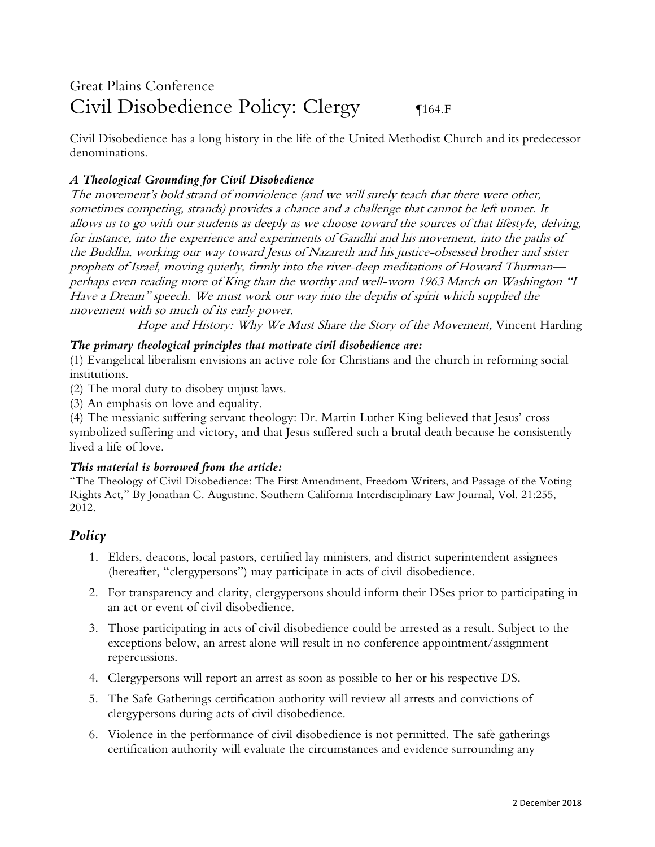# Great Plains Conference Civil Disobedience Policy: Clergy q164.F

Civil Disobedience has a long history in the life of the United Methodist Church and its predecessor denominations.

# *A Theological Grounding for Civil Disobedience*

The movement's bold strand of nonviolence (and we will surely teach that there were other, sometimes competing, strands) provides a chance and a challenge that cannot be left unmet. It allows us to go with our students as deeply as we choose toward the sources of that lifestyle, delving, for instance, into the experience and experiments of Gandhi and his movement, into the paths of the Buddha, working our way toward Jesus of Nazareth and his justice-obsessed brother and sister prophets of Israel, moving quietly, firmly into the river-deep meditations of Howard Thurman perhaps even reading more of King than the worthy and well-worn 1963 March on Washington "I Have a Dream" speech. We must work our way into the depths of spirit which supplied the movement with so much of its early power.

Hope and History: Why We Must Share the Story of the Movement, Vincent Harding

### *The primary theological principles that motivate civil disobedience are:*

(1) Evangelical liberalism envisions an active role for Christians and the church in reforming social institutions.

(2) The moral duty to disobey unjust laws.

(3) An emphasis on love and equality.

(4) The messianic suffering servant theology: Dr. Martin Luther King believed that Jesus' cross symbolized suffering and victory, and that Jesus suffered such a brutal death because he consistently lived a life of love.

#### *This material is borrowed from the article:*

"The Theology of Civil Disobedience: The First Amendment, Freedom Writers, and Passage of the Voting Rights Act," By Jonathan C. Augustine. Southern California Interdisciplinary Law Journal, Vol. 21:255, 2012.

# *Policy*

- 1. Elders, deacons, local pastors, certified lay ministers, and district superintendent assignees (hereafter, "clergypersons") may participate in acts of civil disobedience.
- 2. For transparency and clarity, clergypersons should inform their DSes prior to participating in an act or event of civil disobedience.
- 3. Those participating in acts of civil disobedience could be arrested as a result. Subject to the exceptions below, an arrest alone will result in no conference appointment/assignment repercussions.
- 4. Clergypersons will report an arrest as soon as possible to her or his respective DS.
- 5. The Safe Gatherings certification authority will review all arrests and convictions of clergypersons during acts of civil disobedience.
- 6. Violence in the performance of civil disobedience is not permitted. The safe gatherings certification authority will evaluate the circumstances and evidence surrounding any